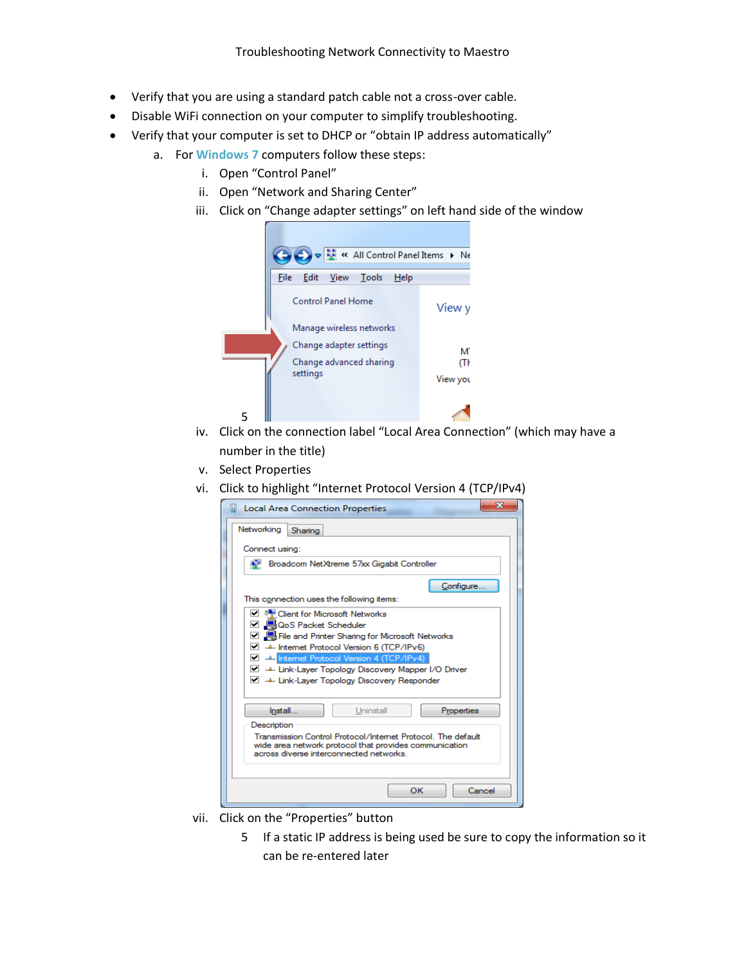- Verify that you are using a standard patch cable not a cross-over cable.
- Disable WiFi connection on your computer to simplify troubleshooting.
- Verify that your computer is set to DHCP or "obtain IP address automatically"
	- a. For **Windows 7** computers follow these steps:
		- i. Open "Control Panel"
		- ii. Open "Network and Sharing Center"
		- iii. Click on "Change adapter settings" on left hand side of the window



- iv. Click on the connection label "Local Area Connection" (which may have a number in the title)
- v. Select Properties
- vi. Click to highlight "Internet Protocol Version 4 (TCP/IPv4)



- vii. Click on the "Properties" button
	- 5 If a static IP address is being used be sure to copy the information so it can be re-entered later